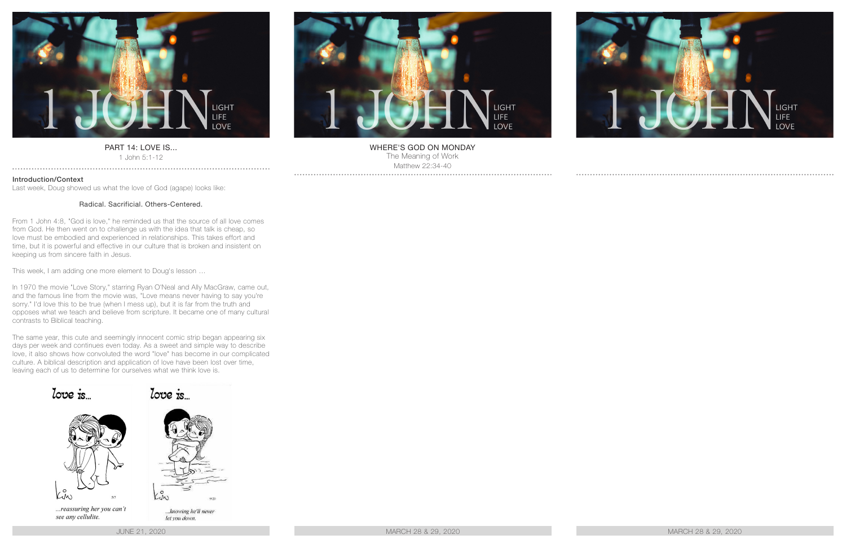

### PART 14: LOVE IS... 1 John 5:1-12

. . . . . . . . . . . . . .

Introduction/Context

Last week, Doug showed us what the love of God (agape) looks like:

# Radical. Sacrificial. Others-Centered.

From 1 John 4:8, "God is love," he reminded us that the source of all love comes from God. He then went on to challenge us with the idea that talk is cheap, so love must be embodied and experienced in relationships. This takes effort and time, but it is powerful and effective in our culture that is broken and insistent on keeping us from sincere faith in Jesus.

This week, I am adding one more element to Doug's lesson …

In 1970 the movie "Love Story," starring Ryan O'Neal and Ally MacGraw, came out, and the famous line from the movie was, "Love means never having to say you're sorry." I'd love this to be true (when I mess up), but it is far from the truth and opposes what we teach and believe from scripture. It became one of many cultural contrasts to Biblical teaching.

The same year, this cute and seemingly innocent comic strip began appearing six days per week and continues even today. As a sweet and simple way to describe love, it also shows how convoluted the word "love" has become in our complicated culture. A biblical description and application of love have been lost over time, leaving each of us to determine for ourselves what we think love is.



JUNE 21, 2020 MARCH 28 & 29, 2020 MARCH 28 & 29, 2020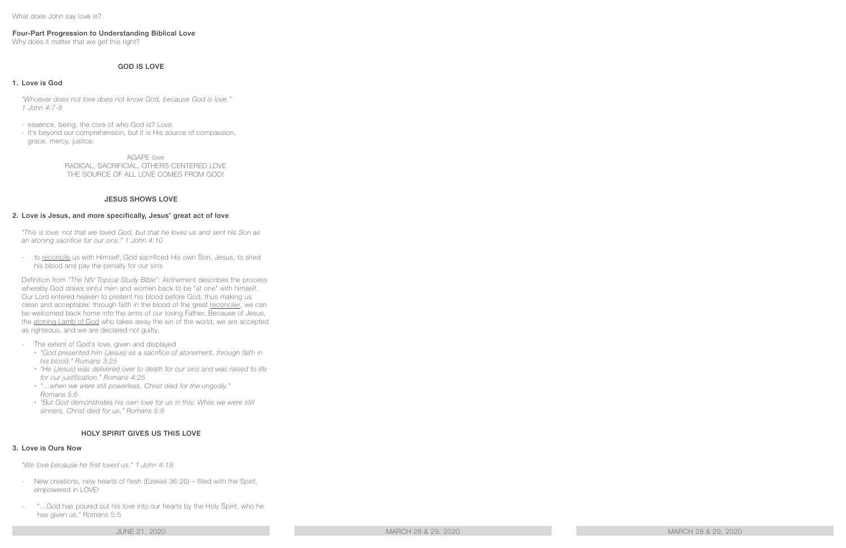What does John say love is?

# Four-Part Progression to Understanding Biblical Love

Why does it matter that we get this right?

# GOD IS LOVE

### 1. Love is God

*"Whoever does not love does not know God, because God is love." 1 John 4:7-8* 

- essence, being, the core of who God is? Love.
- it's beyond our comprehension, but it is His source of compassion, grace, mercy, justice.

AGAPE love RADICAL, SACRIFICIAL, OTHERS-CENTERED LOVE THE SOURCE OF ALL LOVE COMES FROM GOD!

# JESUS SHOWS LOVE

#### 2. Love is Jesus, and more specifically, Jesus' great act of love

*"This is love: not that we loved God, but that he loves us and sent his Son as an atoning sacrifice for our sins." 1 John 4:10* 

to reconcile us with Himself, God sacrificed His own Son, Jesus, to shed his blood and pay the penalty for our sins

Definition from "*The NIV Topical Study Bible"*: Atonement describes the process whereby God draws sinful men and women back to be "at one" with himself. Our Lord entered heaven to present his blood before God, thus making us clean and acceptable; through faith in the blood of the great reconciler, we can be welcomed back home into the arms of our loving Father. Because of Jesus, the atoning Lamb of God who takes away the sin of the world, we are accepted as righteous, and we are declared not guilty.

- The extent of God's love, given and displayed
	- x *"God presented him (Jesus) as a sacrifice of atonement, through faith in his blood." Romans 3:25*
	- x *"He (Jesus) was delivered over to death for our sins and was raised to life for our justification." Romans 4:25*
	- x *"…when we were still powerless, Christ died for the ungodly." Romans 5:6*
	- x *"But God demonstrates his own love for us in this: While we were still sinners, Christ died for us." Romans 5:8*

# HOLY SPIRIT GIVES US THIS LOVE

#### 3. Love is Ours Now

*"We love because he first loved us." 1 John 4:19*

- New creations, new hearts of flesh (Ezekiel 36:26) filled with the Spirit, empowered in LOVE!
- "...God has poured out his love into our hearts by the Holy Spirit, who he has given us." Romans 5:5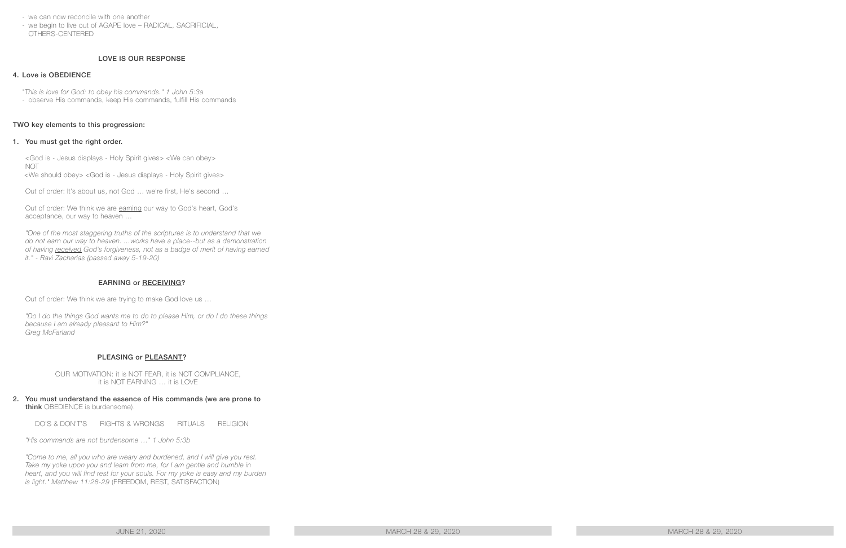- we can now reconcile with one another
- we begin to live out of AGAPE love RADICAL, SACRIFICIAL, OTHERS-CENTERED

# LOVE IS OUR RESPONSE

### 4. Love is OBEDIENCE

*"This is love for God: to obey his commands." 1 John 5:3a* - observe His commands, keep His commands, fulfill His commands

#### TWO key elements to this progression:

#### 1. You must get the right order.

<God is - Jesus displays - Holy Spirit gives> <We can obey> **NOT** <We should obey> <God is - Jesus displays - Holy Spirit gives>

Out of order: It's about us, not God … we're first, He's second …

Out of order: We think we are earning our way to God's heart, God's acceptance, our way to heaven …

"One of the most staggering truths of the scriptures is to understand that we *do not earn our way to heaven. ...works have a place--but as a demonstration of having received God's forgiveness, not as a badge of merit of having earned it." - Ravi Zacharias (passed away 5-19-20)* 

# EARNING or RECEIVING?

Out of order: We think we are trying to make God love us …

*"Do I do the things God wants me to do to please Him, or do I do these things because I am already pleasant to Him?" Greg McFarland* 

# PLEASING or PLEASANT?

OUR MOTIVATION: it is NOT FEAR, it is NOT COMPLIANCE, it is NOT EARNING … it is LOVE

#### 2. You must understand the essence of His commands (we are prone to think OBEDIENCE is burdensome).

DO'S & DON'T'S RIGHTS & WRONGS RITUALS RELIGION

*"His commands are not burdensome …" 1 John 5:3b*

*"Come to me, all you who are weary and burdened, and I will give you rest.*  Take my yoke upon you and learn from me, for I am gentle and humble in *heart, and you will find rest for your souls. For my yoke is easy and my burden is light." Matthew 11:28-29* (FREEDOM, REST, SATISFACTION)